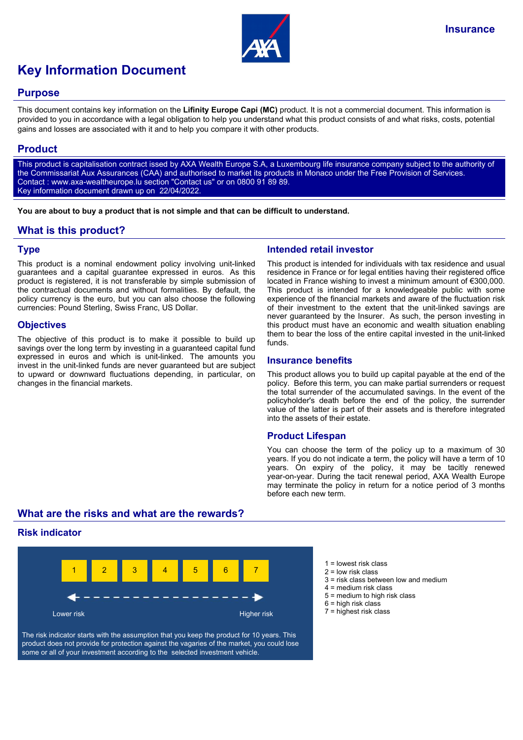

# **Key Information Document**

## **Purpose**

This document contains key information on the **Lifinity Europe Capi (MC)** product. It is not a commercial document. This information is provided to you in accordance with a legal obligation to help you understand what this product consists of and what risks, costs, potential gains and losses are associated with it and to help you compare it with other products.

# **Product**

This product is capitalisation contract issed by AXA Wealth Europe S.A, a Luxembourg life insurance company subject to the authority of the Commissariat Aux Assurances (CAA) and authorised to market its products in Monaco under the Free Provision of Services. Contact : www.axa-wealtheurope.lu section "Contact us" or on 0800 91 89 89. Key information document drawn up on 22/04/2022.

**You are about to buy a product that is not simple and that can be difficult to understand.**

# **What is this product?**

## **Type**

This product is a nominal endowment policy involving unit-linked guarantees and a capital guarantee expressed in euros. As this product is registered, it is not transferable by simple submission of the contractual documents and without formalities. By default, the policy currency is the euro, but you can also choose the following currencies: Pound Sterling, Swiss Franc, US Dollar.

## **Objectives**

The objective of this product is to make it possible to build up savings over the long term by investing in a guaranteed capital fund expressed in euros and which is unit-linked. The amounts you invest in the unit-linked funds are never guaranteed but are subject to upward or downward fluctuations depending, in particular, on changes in the financial markets.

## **Intended retail investor**

This product is intended for individuals with tax residence and usual residence in France or for legal entities having their registered office located in France wishing to invest a minimum amount of €300,000. This product is intended for a knowledgeable public with some experience of the financial markets and aware of the fluctuation risk of their investment to the extent that the unit-linked savings are never guaranteed by the Insurer. As such, the person investing in this product must have an economic and wealth situation enabling them to bear the loss of the entire capital invested in the unit-linked funds.

## **Insurance benefits**

This product allows you to build up capital payable at the end of the policy. Before this term, you can make partial surrenders or request the total surrender of the accumulated savings. In the event of the policyholder's death before the end of the policy, the surrender value of the latter is part of their assets and is therefore integrated into the assets of their estate.

## **Product Lifespan**

You can choose the term of the policy up to a maximum of 30 years. If you do not indicate a term, the policy will have a term of 10 years. On expiry of the policy, it may be tacitly renewed year-on-year. During the tacit renewal period, AXA Wealth Europe may terminate the policy in return for a notice period of 3 months before each new term.

# **What are the risks and what are the rewards?**

## **Risk indicator**



The risk indicator starts with the assumption that you keep the product for 10 years. This product does not provide for protection against the vagaries of the market, you could lose some or all of your investment according to the selected investment vehicle.

- $1 =$  lowest risk class
- 2 = low risk class
- 3 = risk class between low and medium
- 4 = medium risk class
- 5 = medium to high risk class
- $6$  = high risk class
- 7 = highest risk class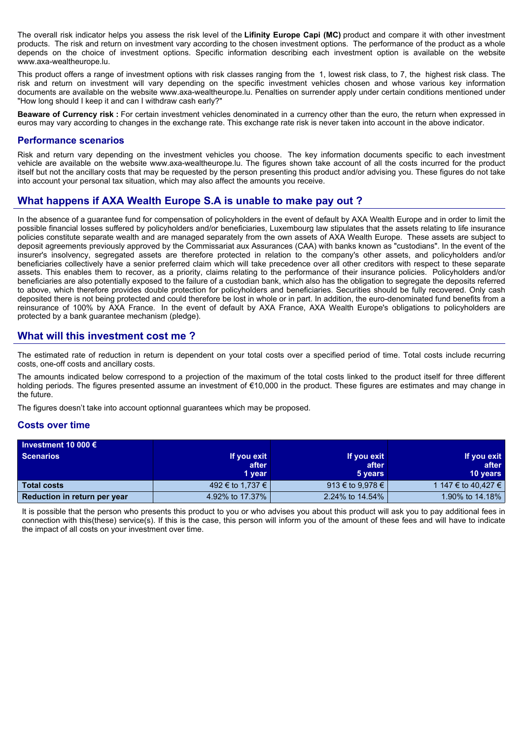The overall risk indicator helps you assess the risk level of the **Lifinity Europe Capi (MC)** product and compare it with other investment products. The risk and return on investment vary according to the chosen investment options. The performance of the product as a whole depends on the choice of investment options. Specific information describing each investment option is available on the website www.axa-wealtheurope.lu.

This product offers a range of investment options with risk classes ranging from the 1, lowest risk class, to 7, the highest risk class. The risk and return on investment will vary depending on the specific investment vehicles chosen and whose various key information documents are available on the website www.axa-wealtheurope.lu. Penalties on surrender apply under certain conditions mentioned under "How long should I keep it and can I withdraw cash early?"

**Beaware of Currency risk :** For certain investment vehicles denominated in a currency other than the euro, the return when expressed in euros may vary according to changes in the exchange rate. This exchange rate risk is never taken into account in the above indicator.

#### **Performance scenarios**

Risk and return vary depending on the investment vehicles you choose. The key information documents specific to each investment vehicle are available on the website www.axa-wealtheurope.lu. The figures shown take account of all the costs incurred for the product itself but not the ancillary costs that may be requested by the person presenting this product and/or advising you. These figures do not take into account your personal tax situation, which may also affect the amounts you receive.

# **What happens if AXA Wealth Europe S.A is unable to make pay out ?**

In the absence of a guarantee fund for compensation of policyholders in the event of default by AXA Wealth Europe and in order to limit the possible financial losses suffered by policyholders and/or beneficiaries, Luxembourg law stipulates that the assets relating to life insurance policies constitute separate wealth and are managed separately from the own assets of AXA Wealth Europe. These assets are subject to deposit agreements previously approved by the Commissariat aux Assurances (CAA) with banks known as "custodians". In the event of the insurer's insolvency, segregated assets are therefore protected in relation to the company's other assets, and policyholders and/or beneficiaries collectively have a senior preferred claim which will take precedence over all other creditors with respect to these separate assets. This enables them to recover, as a priority, claims relating to the performance of their insurance policies. Policyholders and/or beneficiaries are also potentially exposed to the failure of a custodian bank, which also has the obligation to segregate the deposits referred to above, which therefore provides double protection for policyholders and beneficiaries. Securities should be fully recovered. Only cash deposited there is not being protected and could therefore be lost in whole or in part. In addition, the euro-denominated fund benefits from a reinsurance of 100% by AXA France. In the event of default by AXA France, AXA Wealth Europe's obligations to policyholders are protected by a bank guarantee mechanism (pledge).

## **What will this investment cost me ?**

The estimated rate of reduction in return is dependent on your total costs over a specified period of time. Total costs include recurring costs, one-off costs and ancillary costs.

The amounts indicated below correspond to a projection of the maximum of the total costs linked to the product itself for three different holding periods. The figures presented assume an investment of €10,000 in the product. These figures are estimates and may change in the future.

The figures doesn't take into account optionnal guarantees which may be proposed.

#### **Costs over time**

| Investment 10 000 $\epsilon$ |                  |                  |                     |
|------------------------------|------------------|------------------|---------------------|
| <b>Scenarios</b>             | If you exit      | If you exit      | If you exit         |
|                              | after            | after            | after               |
|                              | 1 year           | 5 years          | <b>10 years</b>     |
| <b>Total costs</b>           | 492 € to 1,737 € | 913 € to 9,978 € | 1 147 € to 40.427 € |
| Reduction in return per year | 4.92% to 17.37%  | 2.24% to 14.54%  | 1.90% to 14.18%     |

It is possible that the person who presents this product to you or who advises you about this product will ask you to pay additional fees in connection with this(these) service(s). If this is the case, this person will inform you of the amount of these fees and will have to indicate the impact of all costs on your investment over time.